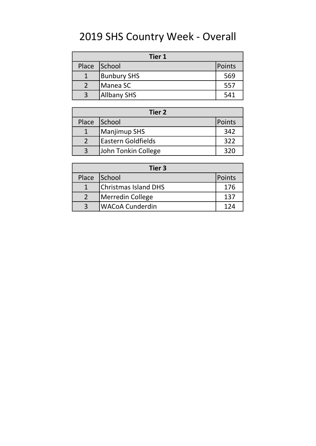# 2019 SHS Country Week - Overall

| <b>Tier 1</b> |                    |        |  |
|---------------|--------------------|--------|--|
| Place         | School             | Points |  |
|               | <b>Bunbury SHS</b> | 569    |  |
|               | Manea SC           | 557    |  |
| -3            | <b>Allbany SHS</b> | 541    |  |

| Tier 2       |                           |               |  |  |
|--------------|---------------------------|---------------|--|--|
| Place School |                           | <b>Points</b> |  |  |
|              | Manjimup SHS              | 342           |  |  |
|              | <b>Eastern Goldfields</b> | 322           |  |  |
| ູລ           | John Tonkin College       | 320           |  |  |

| Tier 3       |                             |        |  |
|--------------|-----------------------------|--------|--|
| Place School |                             | Points |  |
|              | <b>Christmas Island DHS</b> | 176    |  |
|              | Merredin College            | 137    |  |
|              | lWACoA Cunderdin            | 174    |  |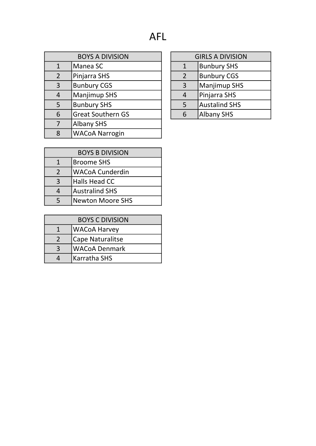| <b>BOYS A DIVISION</b>               |                          |  | <b>GIRLS A DIVISION</b>            |                      |
|--------------------------------------|--------------------------|--|------------------------------------|----------------------|
| $\mathbf{1}$                         | Manea SC                 |  | <b>Bunbury SHS</b><br>$\mathbf{1}$ |                      |
| $\overline{2}$<br>Pinjarra SHS       |                          |  | $\overline{2}$                     | <b>Bunbury CGS</b>   |
| <b>Bunbury CGS</b><br>$\overline{3}$ |                          |  | 3                                  | <b>Manjimup SHS</b>  |
| 4                                    | <b>Manjimup SHS</b>      |  | 4                                  | Pinjarra SHS         |
| 5                                    | <b>Bunbury SHS</b>       |  | 5                                  | <b>Austalind SHS</b> |
| 6                                    | <b>Great Southern GS</b> |  | 6                                  | <b>Albany SHS</b>    |
| 7                                    | <b>Albany SHS</b>        |  |                                    |                      |
| 8                                    | <b>WACoA Narrogin</b>    |  |                                    |                      |

| <b>GIRLS A DIVISION</b> |                      |  |
|-------------------------|----------------------|--|
| 1                       | <b>Bunbury SHS</b>   |  |
| $\mathcal{L}$           | <b>Bunbury CGS</b>   |  |
| 3                       | <b>Manjimup SHS</b>  |  |
| 4                       | Pinjarra SHS         |  |
| 5                       | <b>Austalind SHS</b> |  |
| հ                       | <b>Albany SHS</b>    |  |

| <b>BOYS B DIVISION</b> |  |  |
|------------------------|--|--|
| Broome SHS             |  |  |
| <b>WACoA Cunderdin</b> |  |  |
| Halls Head CC          |  |  |
| <b>Australind SHS</b>  |  |  |
| Newton Moore SHS       |  |  |
|                        |  |  |

| <b>BOYS C DIVISION</b> |                         |  |
|------------------------|-------------------------|--|
|                        | WACoA Harvey            |  |
|                        | <b>Cape Naturalitse</b> |  |
|                        | WACoA Denmark           |  |
|                        | Karratha SHS            |  |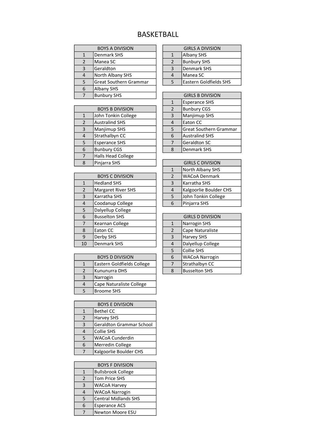#### BASKETBALL

| <b>BOYS A DIVISION</b> |                               |                | <b>GIRLS A DIVISION</b> |
|------------------------|-------------------------------|----------------|-------------------------|
|                        | Denmark SHS                   |                | <b>Albany SHS</b>       |
| $\overline{2}$         | Manea SC                      | $\overline{2}$ | <b>Bunbury SHS</b>      |
| 3                      | Geraldton                     | 3              | <b>Denmark SHS</b>      |
| 4                      | North Albany SHS              | 4              | Manea SC                |
| 5                      | <b>Great Southern Grammar</b> | 5              | Eastern Goldfields SHS  |
| 6                      | <b>Albany SHS</b>             |                |                         |
|                        | <b>Bunbury SHS</b>            |                | <b>GIRLS B DIVISION</b> |

|                        |                           |   | <b>LUNCIALICE UITU</b>        |
|------------------------|---------------------------|---|-------------------------------|
| <b>BOYS B DIVISION</b> |                           | 2 | <b>Bunbury CGS</b>            |
| $\mathbf{1}$           | John Tonkin College       | 3 | Manjimup SHS                  |
| $\overline{2}$         | <b>Australind SHS</b>     | 4 | Eaton CC                      |
| 3                      | Manjimup SHS              | 5 | <b>Great Southern Grammar</b> |
| $\overline{4}$         | Strathalbyn CC            | 6 | <b>Australind SHS</b>         |
| 5                      | <b>Esperance SHS</b>      |   | Geraldton SC                  |
| 6                      | <b>Bunbury CGS</b>        | 8 | Denmark SHS                   |
| 7                      | <b>Halls Head College</b> |   |                               |
| 8                      | Pinjarra SHS              |   | <b>GIRLS C DIVISION</b>       |

| <b>BOYS C DIVISION</b> |                           | $\overline{2}$          | <b>WACoA Denmark</b>   |  |
|------------------------|---------------------------|-------------------------|------------------------|--|
| $\mathbf{1}$           | <b>Hedland SHS</b>        | Karratha SHS<br>3       |                        |  |
| $\overline{2}$         | <b>Margaret River SHS</b> | 4                       | Kalgoorlie Boulder CHS |  |
| 3                      | Karratha SHS              | 5                       | John Tonkin College    |  |
| 4                      | Coodanup College          | Pinjarra SHS<br>6       |                        |  |
| 5                      | Dalyellup College         |                         |                        |  |
| 6                      | <b>Busselton SHS</b>      | <b>GIRLS D DIVISION</b> |                        |  |
| 7                      | Kearnan College           | $\mathbf{1}$            | Narrogin SHS           |  |
| 8                      | Eaton CC                  | $\overline{2}$          | Cape Naturaliste       |  |
| 9                      | Derby SHS                 | 3                       | <b>Harvey SHS</b>      |  |
| 10                     | Denmark SHS               | $\overline{4}$          | Dalyellup College      |  |

| <b>BOYS D DIVISION</b>        |                            | 6 | <b>WACoA Narrog</b>  |
|-------------------------------|----------------------------|---|----------------------|
|                               | Eastern Goldfields College |   | Strathalbyn CC       |
| $\mathcal{P}$                 | Kununurra DHS              | 8 | <b>Busselton SHS</b> |
| 3<br>Narrogin                 |                            |   |                      |
| Cape Naturaliste College<br>4 |                            |   |                      |
|                               | <b>Broome SHS</b>          |   |                      |

| <b>BOYS E DIVISION</b> |                                 |  |  |
|------------------------|---------------------------------|--|--|
| 1                      | <b>Bethel CC</b>                |  |  |
| $\mathfrak{p}$         | <b>Harvey SHS</b>               |  |  |
| 3                      | <b>Geraldton Grammar School</b> |  |  |
| 4                      | Collie SHS                      |  |  |
| 5                      | <b>WACoA Cunderdin</b>          |  |  |
| 6                      | Merredin College                |  |  |
|                        | Kalgoorlie Boulder CHS          |  |  |

|               | <b>BOYS F DIVISION</b>      |  |  |
|---------------|-----------------------------|--|--|
| 1             | <b>Bullsbrook College</b>   |  |  |
| $\mathcal{P}$ | <b>Tom Price SHS</b>        |  |  |
| 3             | <b>WACoA Harvey</b>         |  |  |
|               | <b>WACoA Narrogin</b>       |  |  |
| 5             | <b>Central Midlands SHS</b> |  |  |
| 6             | <b>Esperance ACS</b>        |  |  |
|               | <b>Newton Moore ESU</b>     |  |  |

|               | <b>GIRLS A DIVISION</b>       |
|---------------|-------------------------------|
|               | <b>Albany SHS</b>             |
| $\mathcal{P}$ | <b>Bunbury SHS</b>            |
| 3             | <b>Denmark SHS</b>            |
| 4             | Manea SC                      |
| ς             | <b>Eastern Goldfields SHS</b> |
|               |                               |

| <b>GIRLS B DIVISION</b> |                               |  |  |
|-------------------------|-------------------------------|--|--|
| $\mathbf{1}$            | <b>Esperance SHS</b>          |  |  |
| 2                       | <b>Bunbury CGS</b>            |  |  |
| 3                       | Manjimup SHS                  |  |  |
| $\boldsymbol{\Delta}$   | Eaton CC                      |  |  |
| 5                       | <b>Great Southern Grammar</b> |  |  |
| 6                       | <b>Australind SHS</b>         |  |  |
|                         | <b>Geraldton SC</b>           |  |  |
| g                       | <b>Denmark SHS</b>            |  |  |

| <b>GIRLS C DIVISION</b> |                        |  |  |
|-------------------------|------------------------|--|--|
| 1                       | North Albany SHS       |  |  |
| $\mathfrak{p}$          | <b>WACoA Denmark</b>   |  |  |
| 3                       | Karratha SHS           |  |  |
| 4                       | Kalgoorlie Boulder CHS |  |  |
| 5                       | John Tonkin College    |  |  |
|                         | Pinjarra SHS           |  |  |

|                | <b>GIRLS D DIVISION</b> |  |  |
|----------------|-------------------------|--|--|
|                | <b>Narrogin SHS</b>     |  |  |
| $\mathfrak{p}$ | Cape Naturaliste        |  |  |
| 3              | <b>Harvey SHS</b>       |  |  |
| 4              | Dalyellup College       |  |  |
| 5              | Collie SHS              |  |  |
| 6              | <b>WACoA Narrogin</b>   |  |  |
|                | Strathalbyn CC          |  |  |
|                | <b>Busselton SHS</b>    |  |  |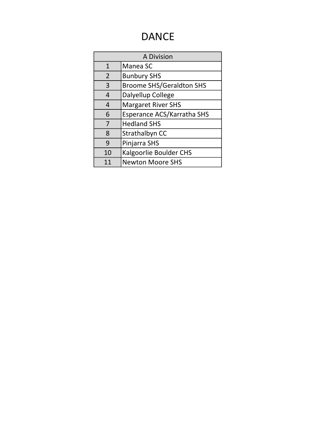## DANCE

| A Division     |                                 |  |
|----------------|---------------------------------|--|
| $\mathbf{1}$   | Manea SC                        |  |
| $\overline{2}$ | <b>Bunbury SHS</b>              |  |
| 3              | <b>Broome SHS/Geraldton SHS</b> |  |
| 4              | Dalyellup College               |  |
| 4              | <b>Margaret River SHS</b>       |  |
| 6              | Esperance ACS/Karratha SHS      |  |
| 7              | <b>Hedland SHS</b>              |  |
| 8              | Strathalbyn CC                  |  |
| 9              | Pinjarra SHS                    |  |
| 10             | <b>Kalgoorlie Boulder CHS</b>   |  |
|                | <b>Newton Moore SHS</b>         |  |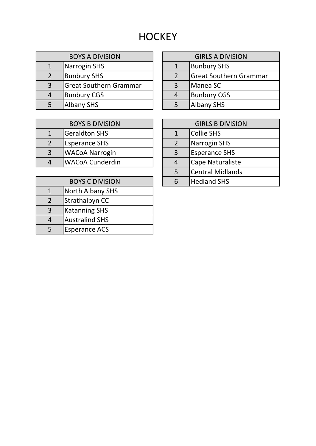## **HOCKEY**

| <b>BOYS A DIVISION</b> |                               | <b>GIRLS A DIV</b> |                     |  |
|------------------------|-------------------------------|--------------------|---------------------|--|
|                        | Narrogin SHS                  |                    | <b>Bunbury SHS</b>  |  |
| 2                      | <b>Bunbury SHS</b>            |                    | <b>Great Southe</b> |  |
| $\overline{3}$         | <b>Great Southern Grammar</b> |                    | Manea SC            |  |
|                        | <b>Bunbury CGS</b>            |                    | <b>Bunbury CGS</b>  |  |
|                        | <b>Albany SHS</b>             |                    | <b>Albany SHS</b>   |  |

| <b>BOYS A DIVISION</b> |                        | <b>GIRLS A DIVISION</b> |                               |  |
|------------------------|------------------------|-------------------------|-------------------------------|--|
|                        | Narrogin SHS           |                         | <b>Bunbury SHS</b>            |  |
| $\overline{2}$         | <b>Bunbury SHS</b>     |                         | <b>Great Southern Grammar</b> |  |
| 3                      | Great Southern Grammar |                         | Manea SC                      |  |
| 4                      | <b>Bunbury CGS</b>     |                         | <b>Bunbury CGS</b>            |  |
| 5                      | Albany SHS             |                         | Albany SHS                    |  |
|                        |                        |                         |                               |  |

| <b>BOYS B DIVISION</b> |                        |   | <b>GIRLS B DIVISIO</b> |
|------------------------|------------------------|---|------------------------|
|                        | <b>Geraldton SHS</b>   |   | Collie SHS             |
|                        | <b>Esperance SHS</b>   |   | Narrogin SHS           |
| $\overline{3}$         | <b>WACoA Narrogin</b>  | 3 | <b>Esperance SHS</b>   |
| 4                      | <b>WACoA Cunderdin</b> | Δ | Cape Naturaliste       |
|                        |                        |   |                        |

| <b>BOYS C DIVISION</b> |                         |  |
|------------------------|-------------------------|--|
|                        | <b>North Albany SHS</b> |  |
| 2                      | Strathalbyn CC          |  |
| 3                      | <b>Katanning SHS</b>    |  |
|                        | <b>Australind SHS</b>   |  |
| 5                      | <b>Esperance ACS</b>    |  |

| <b>GIRLS B DIVISION</b> |                         |  |
|-------------------------|-------------------------|--|
|                         | <b>Collie SHS</b>       |  |
| 2                       | <b>Narrogin SHS</b>     |  |
| 3                       | <b>Esperance SHS</b>    |  |
| 4                       | Cape Naturaliste        |  |
| 5                       | <b>Central Midlands</b> |  |
|                         | <b>Hedland SHS</b>      |  |
|                         |                         |  |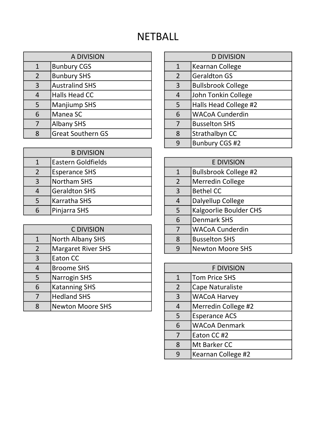## **NETBALL**

| A DIVISION     |                          | <b>D DIVISION</b> |                           |
|----------------|--------------------------|-------------------|---------------------------|
| $\mathbf{1}$   | <b>Bunbury CGS</b>       | $\mathbf{1}$      | Kearnan College           |
| $\overline{2}$ | <b>Bunbury SHS</b>       | $\overline{2}$    | <b>Geraldton GS</b>       |
| 3              | <b>Australind SHS</b>    | $\overline{3}$    | <b>Bullsbrook College</b> |
| 4              | Halls Head CC            | $\overline{4}$    | John Tonkin College       |
| 5              | <b>Manjiump SHS</b>      | 5                 | Halls Head College #2     |
| 6              | Manea SC                 | 6                 | <b>WACoA Cunderdin</b>    |
| 7              | <b>Albany SHS</b>        | 7                 | <b>Busselton SHS</b>      |
| 8              | <b>Great Southern GS</b> | $\mathsf R$       | Strathalbyn CC            |

| <b>B DIVISION</b> |                           |                   |                              |
|-------------------|---------------------------|-------------------|------------------------------|
|                   | <b>Eastern Goldfields</b> | <b>E DIVISION</b> |                              |
|                   | <b>Esperance SHS</b>      |                   | <b>Bullsbrook College #2</b> |
| 3                 | <b>Northam SHS</b>        | $\mathcal{P}$     | Merredin College             |
| 4                 | <b>Geraldton SHS</b>      | 3                 | <b>Bethel CC</b>             |
|                   | Karratha SHS              | 4                 | Dalyellup College            |
| 6                 | Pinjarra SHS              |                   | Kalgoorlie Boulder CHS       |

|                | <b>C DIVISION</b>         | 7                            | <b>WACoA Cunderdin</b> |  |
|----------------|---------------------------|------------------------------|------------------------|--|
| $\mathbf{1}$   | <b>North Albany SHS</b>   | 8                            | <b>Busselton SHS</b>   |  |
| $\overline{2}$ | <b>Margaret River SHS</b> | <b>Newton Moore SHS</b><br>9 |                        |  |
| 3              | Eaton CC                  |                              |                        |  |
| 4              | <b>Broome SHS</b>         | <b>F DIVISION</b>            |                        |  |
| 5              | Narrogin SHS              | $\mathbf{1}$                 | Tom Price SHS          |  |
| 6              | <b>Katanning SHS</b>      | $\overline{2}$               | Cape Naturaliste       |  |
| 7              | <b>Hedland SHS</b>        | 3                            | <b>WACoA Harvey</b>    |  |
| 8              | <b>Newton Moore SHS</b>   | 4                            | Merredin College #2    |  |
|                |                           |                              |                        |  |

| <b>D DIVISION</b> |                           |  |
|-------------------|---------------------------|--|
| $\mathbf{1}$      | <b>Kearnan College</b>    |  |
| 2                 | <b>Geraldton GS</b>       |  |
| $\overline{3}$    | <b>Bullsbrook College</b> |  |
| $\overline{4}$    | John Tonkin College       |  |
| 5                 | Halls Head College #2     |  |
| 6                 | <b>WACoA Cunderdin</b>    |  |
| 7                 | <b>Busselton SHS</b>      |  |
| 8                 | Strathalbyn CC            |  |
|                   | <b>Bunbury CGS #2</b>     |  |

| <b>E DIVISION</b> |                               |  |
|-------------------|-------------------------------|--|
| $\mathbf{1}$      | <b>Bullsbrook College #2</b>  |  |
| $\overline{2}$    | <b>Merredin College</b>       |  |
| 3                 | <b>Bethel CC</b>              |  |
| 4                 | Dalyellup College             |  |
| 5                 | <b>Kalgoorlie Boulder CHS</b> |  |
| 6                 | <b>Denmark SHS</b>            |  |
| 7                 | <b>WACoA Cunderdin</b>        |  |
| 8                 | <b>Busselton SHS</b>          |  |
| q                 | <b>Newton Moore SHS</b>       |  |

|              | <b>F DIVISION</b>    |
|--------------|----------------------|
| $\mathbf{1}$ | <b>Tom Price SHS</b> |
| 2            | Cape Naturaliste     |
| 3            | <b>WACoA Harvey</b>  |
| 4            | Merredin College #2  |
| 5            | <b>Esperance ACS</b> |
| 6            | <b>WACoA Denmark</b> |
| 7            | Eaton CC #2          |
| 8            | Mt Barker CC         |
| q            | Kearnan College #2   |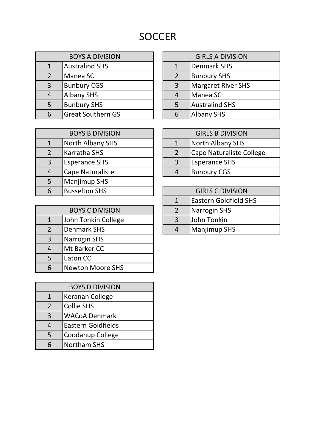# SOCCER

| <b>BOYS A DIVISION</b> |                          | <b>GIRLS A DIVISION</b> |                           |
|------------------------|--------------------------|-------------------------|---------------------------|
| 1                      | Australind SHS           |                         | <b>Denmark SHS</b>        |
| $\overline{2}$         | Manea SC                 |                         | <b>Bunbury SHS</b>        |
| $\overline{3}$         | <b>Bunbury CGS</b>       | $\overline{3}$          | <b>Margaret River SHS</b> |
| $\overline{4}$         | Albany SHS               |                         | Manea SC                  |
| 5                      | <b>Bunbury SHS</b>       |                         | <b>Australind SHS</b>     |
| 6                      | <b>Great Southern GS</b> |                         | <b>Albany SHS</b>         |

| <b>GIRLS A DIVISION</b> |                           |  |
|-------------------------|---------------------------|--|
|                         | <b>Denmark SHS</b>        |  |
| $\mathcal{L}$           | <b>Bunbury SHS</b>        |  |
| 3                       | <b>Margaret River SHS</b> |  |
| 4                       | Manea SC                  |  |
| 5                       | <b>Australind SHS</b>     |  |
| հ                       | <b>Albany SHS</b>         |  |
|                         |                           |  |

| <b>BOYS B DIVISION</b> |                      | <b>GIRLS B DIVISION</b> |                          |  |
|------------------------|----------------------|-------------------------|--------------------------|--|
|                        | North Albany SHS     |                         | <b>North Albany SHS</b>  |  |
| 2                      | <b>Karratha SHS</b>  |                         | Cape Naturaliste College |  |
| 3                      | <b>Esperance SHS</b> | 3                       | <b>Esperance SHS</b>     |  |
| 4                      | Cape Naturaliste     |                         | <b>Bunbury CGS</b>       |  |
| 5                      | Manjimup SHS         |                         |                          |  |
| 6                      | <b>Busselton SHS</b> | <b>GIRLS C DIVISION</b> |                          |  |
|                        |                      |                         |                          |  |

| <b>BOYS C DIVISION</b><br>2<br>John Tonkin College<br>3<br>1<br><b>Denmark SHS</b><br>2<br>4 |  |                     |
|----------------------------------------------------------------------------------------------|--|---------------------|
|                                                                                              |  | Narrogin SHS        |
|                                                                                              |  | John Tonkin         |
|                                                                                              |  | <b>Manjimup SHS</b> |
| <b>Narrogin SHS</b><br>3                                                                     |  |                     |
| Mt Barker CC<br>4                                                                            |  |                     |
| Eaton CC<br>5                                                                                |  |                     |
| <b>Newton Moore SHS</b><br>6                                                                 |  |                     |

| <b>BOYS D DIVISION</b> |                           |  |
|------------------------|---------------------------|--|
|                        | Keranan College           |  |
| 2                      | Collie SHS                |  |
| 3                      | <b>WACoA Denmark</b>      |  |
|                        | <b>Eastern Goldfields</b> |  |
| 5                      | Coodanup College          |  |
|                        | <b>Northam SHS</b>        |  |

| <b>GIRLS B DIVISION</b> |                                 |  |
|-------------------------|---------------------------------|--|
|                         | North Albany SHS                |  |
|                         | <b>Cape Naturaliste College</b> |  |
| 3                       | <b>Esperance SHS</b>            |  |
| 4                       | <b>Bunbury CGS</b>              |  |

|               | <b>GIRLS C DIVISION</b>      |
|---------------|------------------------------|
|               | <b>Eastern Goldfield SHS</b> |
| $\mathcal{L}$ | Narrogin SHS                 |
| 3             | John Tonkin                  |
|               | Manjimup SHS                 |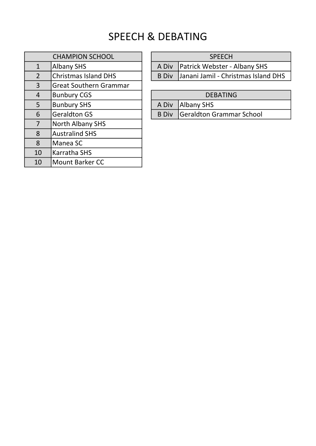### SPEECH & DEBATING

| <b>CHAMPION SCHOOL</b> |                               |  |
|------------------------|-------------------------------|--|
| $\mathbf{1}$           | <b>Albany SHS</b>             |  |
| $\overline{2}$         | <b>Christmas Island DHS</b>   |  |
| 3                      | <b>Great Southern Grammar</b> |  |
| 4                      | <b>Bunbury CGS</b>            |  |
| 5                      | <b>Bunbury SHS</b>            |  |
| 6                      | <b>Geraldton GS</b>           |  |
| 7                      | <b>North Albany SHS</b>       |  |
| 8                      | <b>Australind SHS</b>         |  |
| 8                      | Manea SC                      |  |
| 10                     | <b>Karratha SHS</b>           |  |
| 10                     | <b>Mount Barker CC</b>        |  |

#### SPEECH

A Div Patrick Webster - Albany SHS

B Div Janani Jamil - Christmas Island DHS

#### DEBATING

 $\overline{AB}$  Bundall Albany SHS

B Div Geraldton Grammar School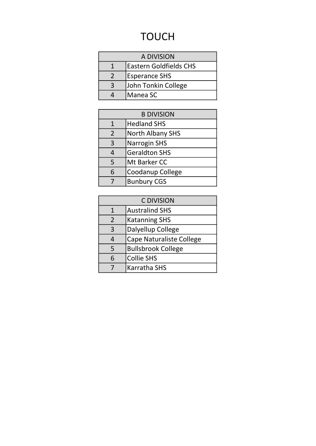## TOUCH

| A DIVISION |                               |  |
|------------|-------------------------------|--|
|            | <b>Eastern Goldfields CHS</b> |  |
|            | <b>Esperance SHS</b>          |  |
|            | John Tonkin College           |  |
|            | Manea SC                      |  |

| <b>B DIVISION</b> |                         |  |
|-------------------|-------------------------|--|
| 1                 | <b>Hedland SHS</b>      |  |
| $\overline{2}$    | <b>North Albany SHS</b> |  |
| 3                 | <b>Narrogin SHS</b>     |  |
| 4                 | <b>Geraldton SHS</b>    |  |
| 5                 | Mt Barker CC            |  |
| 6                 | Coodanup College        |  |
|                   | <b>Bunbury CGS</b>      |  |
|                   |                         |  |

| <b>C DIVISION</b> |                                 |  |  |
|-------------------|---------------------------------|--|--|
| 1                 | <b>Australind SHS</b>           |  |  |
| 2                 | <b>Katanning SHS</b>            |  |  |
| 3                 | Dalyellup College               |  |  |
|                   | <b>Cape Naturaliste College</b> |  |  |
| 5                 | <b>Bullsbrook College</b>       |  |  |
| 6                 | <b>Collie SHS</b>               |  |  |
|                   | <b>Karratha SHS</b>             |  |  |